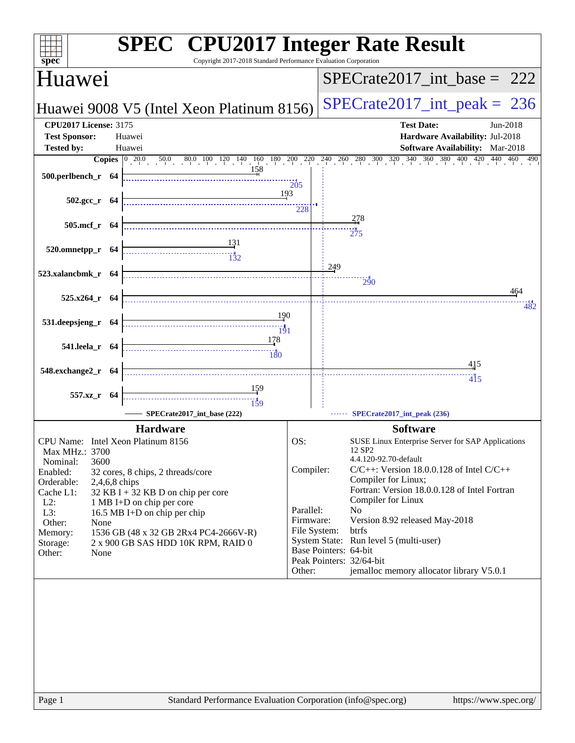| spec<br>Copyright 2017-2018 Standard Performance Evaluation Corporation          | <b>SPEC<sup>®</sup></b> CPU2017 Integer Rate Result                                                                                                                                          |
|----------------------------------------------------------------------------------|----------------------------------------------------------------------------------------------------------------------------------------------------------------------------------------------|
| Huawei                                                                           | $SPECrate2017\_int\_base = 222$                                                                                                                                                              |
| Huawei 9008 V5 (Intel Xeon Platinum 8156)                                        | $SPECrate2017\_int\_peak = 236$                                                                                                                                                              |
| <b>CPU2017 License: 3175</b>                                                     | <b>Test Date:</b><br>Jun-2018                                                                                                                                                                |
| <b>Test Sponsor:</b><br>Huawei<br>Tested by:<br>Huawei                           | Hardware Availability: Jul-2018<br>Software Availability: Mar-2018                                                                                                                           |
|                                                                                  | <b>Copies</b> $\begin{bmatrix} 0 & 20.0 & 50.0 & 80.0 & 100 & 120 & 140 & 160 & 180 & 200 & 220 & 240 & 260 & 280 & 300 & 320 & 340 & 360 & 380 & 400 & 420 & 440 & 460 & 490 \end{bmatrix}$ |
| $500.$ perlbench_r 64                                                            | $\frac{1}{205}$                                                                                                                                                                              |
| 193<br>$502.\text{gcc r}$ 64                                                     | 228                                                                                                                                                                                          |
| 505.mcf_r 64                                                                     | 278<br>$\frac{1}{275}$                                                                                                                                                                       |
| $\begin{array}{c c}\n & 131 \\  \hline\n & 132\n\end{array}$<br>520.omnetpp_r 64 |                                                                                                                                                                                              |
| 523.xalancbmk_r 64                                                               | 249<br>290                                                                                                                                                                                   |
| $525.x264$ r 64                                                                  | 464<br>482                                                                                                                                                                                   |
| 190<br>531.deepsjeng_r 64                                                        |                                                                                                                                                                                              |
| 178<br>541.leela_r 64<br>180                                                     |                                                                                                                                                                                              |
| 548.exchange2_r 64                                                               | 415<br>415                                                                                                                                                                                   |
| 557.xz_r 64<br>$\frac{11}{159}$                                                  |                                                                                                                                                                                              |
| SPECrate2017_int_base (222)                                                      | SPECrate2017_int_peak (236)                                                                                                                                                                  |
| <b>Hardware</b>                                                                  | <b>Software</b>                                                                                                                                                                              |
| CPU Name: Intel Xeon Platinum 8156                                               | OS:<br>SUSE Linux Enterprise Server for SAP Applications                                                                                                                                     |
| Max MHz.: 3700                                                                   | 12 SP <sub>2</sub><br>4.4.120-92.70-default                                                                                                                                                  |
| 3600<br>Nominal:<br>Enabled:<br>32 cores, 8 chips, 2 threads/core                | Compiler:<br>$C/C++$ : Version 18.0.0.128 of Intel $C/C++$                                                                                                                                   |
| Orderable:<br>2,4,6,8 chips                                                      | Compiler for Linux;                                                                                                                                                                          |
| $32$ KB I + 32 KB D on chip per core<br>Cache L1:                                | Fortran: Version 18.0.0.128 of Intel Fortran                                                                                                                                                 |
| $L2$ :<br>1 MB I+D on chip per core<br>L3:                                       | Compiler for Linux<br>Parallel:<br>N <sub>0</sub>                                                                                                                                            |
| 16.5 MB I+D on chip per chip<br>Other:<br>None                                   | Firmware:<br>Version 8.92 released May-2018                                                                                                                                                  |
| 1536 GB (48 x 32 GB 2Rx4 PC4-2666V-R)<br>Memory:                                 | File System:<br>btrfs                                                                                                                                                                        |
| 2 x 900 GB SAS HDD 10K RPM, RAID 0<br>Storage:                                   | System State: Run level 5 (multi-user)<br>Base Pointers: 64-bit                                                                                                                              |
| Other:<br>None                                                                   | Peak Pointers: 32/64-bit                                                                                                                                                                     |
|                                                                                  | jemalloc memory allocator library V5.0.1<br>Other:                                                                                                                                           |
|                                                                                  |                                                                                                                                                                                              |
|                                                                                  |                                                                                                                                                                                              |
|                                                                                  |                                                                                                                                                                                              |
|                                                                                  |                                                                                                                                                                                              |
|                                                                                  |                                                                                                                                                                                              |
|                                                                                  |                                                                                                                                                                                              |
|                                                                                  |                                                                                                                                                                                              |
|                                                                                  |                                                                                                                                                                                              |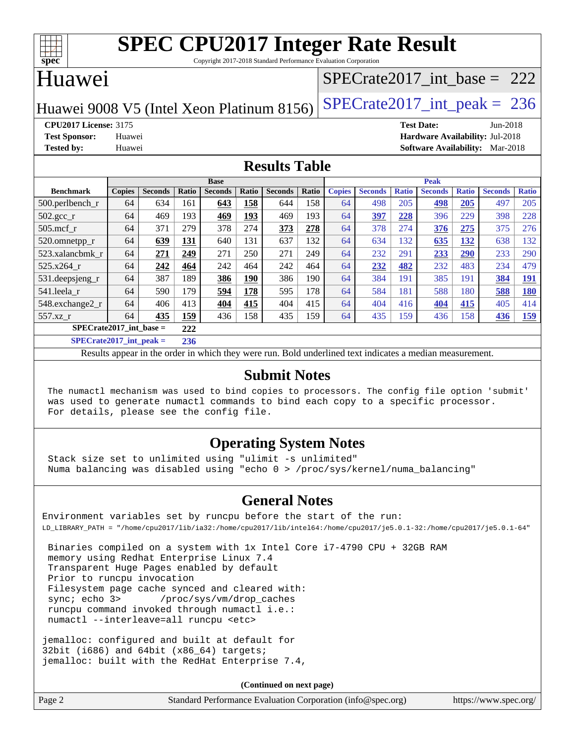

Copyright 2017-2018 Standard Performance Evaluation Corporation

#### Huawei

#### [SPECrate2017\\_int\\_base =](http://www.spec.org/auto/cpu2017/Docs/result-fields.html#SPECrate2017intbase) 222

Huawei 9008 V5 (Intel Xeon Platinum 8156) SPECrate  $2017$ \_int\_peak = 236

**[CPU2017 License:](http://www.spec.org/auto/cpu2017/Docs/result-fields.html#CPU2017License)** 3175 **[Test Date:](http://www.spec.org/auto/cpu2017/Docs/result-fields.html#TestDate)** Jun-2018 **[Test Sponsor:](http://www.spec.org/auto/cpu2017/Docs/result-fields.html#TestSponsor)** Huawei **[Hardware Availability:](http://www.spec.org/auto/cpu2017/Docs/result-fields.html#HardwareAvailability)** Jul-2018 **[Tested by:](http://www.spec.org/auto/cpu2017/Docs/result-fields.html#Testedby)** Huawei **[Software Availability:](http://www.spec.org/auto/cpu2017/Docs/result-fields.html#SoftwareAvailability)** Mar-2018

#### **[Results Table](http://www.spec.org/auto/cpu2017/Docs/result-fields.html#ResultsTable)**

|                             | <b>Base</b>   |                |        |                |            |                |       | <b>Peak</b>   |                |              |                |              |                |              |
|-----------------------------|---------------|----------------|--------|----------------|------------|----------------|-------|---------------|----------------|--------------|----------------|--------------|----------------|--------------|
| <b>Benchmark</b>            | <b>Copies</b> | <b>Seconds</b> | Ratio  | <b>Seconds</b> | Ratio      | <b>Seconds</b> | Ratio | <b>Copies</b> | <b>Seconds</b> | <b>Ratio</b> | <b>Seconds</b> | <b>Ratio</b> | <b>Seconds</b> | <b>Ratio</b> |
| $500.$ perlbench_r          | 64            | 634            | 161    | 643            | 158        | 644            | 158   | 64            | 498            | 205          | 498            | 205          | 497            | 205          |
| $502.\text{sec}$            | 64            | 469            | 193    | 469            | 193        | 469            | 193   | 64            | 397            | 228          | 396            | 229          | 398            | 228          |
| $505$ .mcf r                | 64            | 371            | 279    | 378            | 274        | 373            | 278   | 64            | 378            | 274          | 376            | 275          | 375            | 276          |
| 520.omnetpp_r               | 64            | 639            | 131    | 640            | 131        | 637            | 132   | 64            | 634            | 132          | 635            | 132          | 638            | 132          |
| 523.xalancbmk r             | 64            | 271            | 249    | 271            | 250        | 271            | 249   | 64            | 232            | 291          | 233            | 290          | 233            | 290          |
| $525.x264$ r                | 64            | 242            | 464    | 242            | 464        | 242            | 464   | 64            | 232            | 482          | 232            | 483          | 234            | 479          |
| 531.deepsjeng_r             | 64            | 387            | 189    | 386            | <b>190</b> | 386            | 190   | 64            | 384            | 191          | 385            | 191          | 384            | <u>191</u>   |
| 541.leela r                 | 64            | 590            | 179    | 594            | 178        | 595            | 178   | 64            | 584            | 181          | 588            | 180          | 588            | <u>180</u>   |
| 548.exchange2_r             | 64            | 406            | 413    | 404            | 415        | 404            | 415   | 64            | 404            | 416          | 404            | 415          | 405            | 414          |
| 557.xz r                    | 64            | 435            | 159    | 436            | 158        | 435            | 159   | 64            | 435            | 159          | 436            | 158          | 436            | <u>159</u>   |
| $SPECrate2017\_int\_base =$ |               |                | 222    |                |            |                |       |               |                |              |                |              |                |              |
| $CDECA = 4.0047 + 4 = 1$    |               |                | $\sim$ |                |            |                |       |               |                |              |                |              |                |              |

**[SPECrate2017\\_int\\_peak =](http://www.spec.org/auto/cpu2017/Docs/result-fields.html#SPECrate2017intpeak) 236**

Results appear in the [order in which they were run](http://www.spec.org/auto/cpu2017/Docs/result-fields.html#RunOrder). Bold underlined text [indicates a median measurement](http://www.spec.org/auto/cpu2017/Docs/result-fields.html#Median).

#### **[Submit Notes](http://www.spec.org/auto/cpu2017/Docs/result-fields.html#SubmitNotes)**

 The numactl mechanism was used to bind copies to processors. The config file option 'submit' was used to generate numactl commands to bind each copy to a specific processor. For details, please see the config file.

#### **[Operating System Notes](http://www.spec.org/auto/cpu2017/Docs/result-fields.html#OperatingSystemNotes)**

 Stack size set to unlimited using "ulimit -s unlimited" Numa balancing was disabled using "echo 0 > /proc/sys/kernel/numa\_balancing"

#### **[General Notes](http://www.spec.org/auto/cpu2017/Docs/result-fields.html#GeneralNotes)**

Environment variables set by runcpu before the start of the run: LD\_LIBRARY\_PATH = "/home/cpu2017/lib/ia32:/home/cpu2017/lib/intel64:/home/cpu2017/je5.0.1-32:/home/cpu2017/je5.0.1-64"

 Binaries compiled on a system with 1x Intel Core i7-4790 CPU + 32GB RAM memory using Redhat Enterprise Linux 7.4 Transparent Huge Pages enabled by default Prior to runcpu invocation Filesystem page cache synced and cleared with: sync; echo 3> /proc/sys/vm/drop\_caches runcpu command invoked through numactl i.e.: numactl --interleave=all runcpu <etc>

jemalloc: configured and built at default for 32bit (i686) and 64bit (x86\_64) targets; jemalloc: built with the RedHat Enterprise 7.4,

**(Continued on next page)**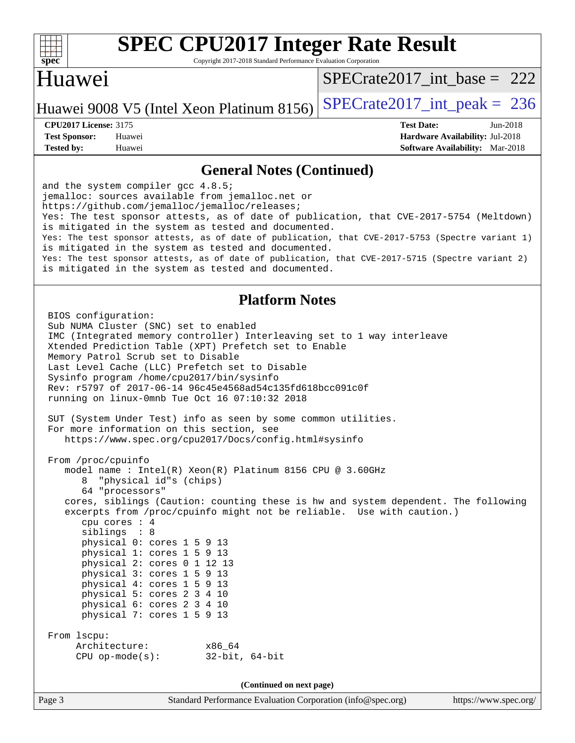

Copyright 2017-2018 Standard Performance Evaluation Corporation

### Huawei

[SPECrate2017\\_int\\_base =](http://www.spec.org/auto/cpu2017/Docs/result-fields.html#SPECrate2017intbase) 222

Huawei 9008 V5 (Intel Xeon Platinum 8156) SPECrate  $2017$ \_int\_peak = 236

**[Test Sponsor:](http://www.spec.org/auto/cpu2017/Docs/result-fields.html#TestSponsor)** Huawei **[Hardware Availability:](http://www.spec.org/auto/cpu2017/Docs/result-fields.html#HardwareAvailability)** Jul-2018 **[Tested by:](http://www.spec.org/auto/cpu2017/Docs/result-fields.html#Testedby)** Huawei **[Software Availability:](http://www.spec.org/auto/cpu2017/Docs/result-fields.html#SoftwareAvailability)** Mar-2018

**[CPU2017 License:](http://www.spec.org/auto/cpu2017/Docs/result-fields.html#CPU2017License)** 3175 **[Test Date:](http://www.spec.org/auto/cpu2017/Docs/result-fields.html#TestDate)** Jun-2018

#### **[General Notes \(Continued\)](http://www.spec.org/auto/cpu2017/Docs/result-fields.html#GeneralNotes)**

and the system compiler gcc 4.8.5; jemalloc: sources available from jemalloc.net or <https://github.com/jemalloc/jemalloc/releases;> Yes: The test sponsor attests, as of date of publication, that CVE-2017-5754 (Meltdown) is mitigated in the system as tested and documented. Yes: The test sponsor attests, as of date of publication, that CVE-2017-5753 (Spectre variant 1) is mitigated in the system as tested and documented. Yes: The test sponsor attests, as of date of publication, that CVE-2017-5715 (Spectre variant 2) is mitigated in the system as tested and documented.

#### **[Platform Notes](http://www.spec.org/auto/cpu2017/Docs/result-fields.html#PlatformNotes)**

 BIOS configuration: Sub NUMA Cluster (SNC) set to enabled IMC (Integrated memory controller) Interleaving set to 1 way interleave Xtended Prediction Table (XPT) Prefetch set to Enable Memory Patrol Scrub set to Disable Last Level Cache (LLC) Prefetch set to Disable Sysinfo program /home/cpu2017/bin/sysinfo Rev: r5797 of 2017-06-14 96c45e4568ad54c135fd618bcc091c0f running on linux-0mnb Tue Oct 16 07:10:32 2018 SUT (System Under Test) info as seen by some common utilities. For more information on this section, see <https://www.spec.org/cpu2017/Docs/config.html#sysinfo> From /proc/cpuinfo model name : Intel(R) Xeon(R) Platinum 8156 CPU @ 3.60GHz 8 "physical id"s (chips) 64 "processors" cores, siblings (Caution: counting these is hw and system dependent. The following excerpts from /proc/cpuinfo might not be reliable. Use with caution.) cpu cores : 4 siblings : 8 physical 0: cores 1 5 9 13 physical 1: cores 1 5 9 13 physical 2: cores 0 1 12 13 physical 3: cores 1 5 9 13 physical 4: cores 1 5 9 13 physical 5: cores 2 3 4 10 physical 6: cores 2 3 4 10 physical 7: cores 1 5 9 13 From lscpu: Architecture: x86\_64 CPU op-mode(s): 32-bit, 64-bit **(Continued on next page)**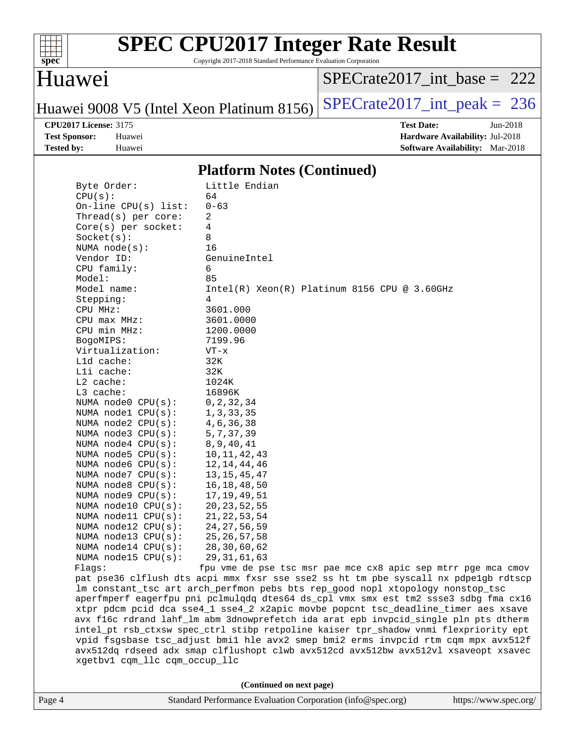

Copyright 2017-2018 Standard Performance Evaluation Corporation

### Huawei

[SPECrate2017\\_int\\_base =](http://www.spec.org/auto/cpu2017/Docs/result-fields.html#SPECrate2017intbase) 222

Huawei 9008 V5 (Intel Xeon Platinum 8156) SPECrate  $2017$ \_int\_peak = 236

**[CPU2017 License:](http://www.spec.org/auto/cpu2017/Docs/result-fields.html#CPU2017License)** 3175 **[Test Date:](http://www.spec.org/auto/cpu2017/Docs/result-fields.html#TestDate)** Jun-2018 **[Test Sponsor:](http://www.spec.org/auto/cpu2017/Docs/result-fields.html#TestSponsor)** Huawei **[Hardware Availability:](http://www.spec.org/auto/cpu2017/Docs/result-fields.html#HardwareAvailability)** Jul-2018 **[Tested by:](http://www.spec.org/auto/cpu2017/Docs/result-fields.html#Testedby)** Huawei **[Software Availability:](http://www.spec.org/auto/cpu2017/Docs/result-fields.html#SoftwareAvailability)** Mar-2018

#### **[Platform Notes \(Continued\)](http://www.spec.org/auto/cpu2017/Docs/result-fields.html#PlatformNotes)**

| Byte Order:                   | Little Endian                                                                        |
|-------------------------------|--------------------------------------------------------------------------------------|
| CPU(s):                       | 64                                                                                   |
| On-line CPU(s) list:          | $0 - 63$                                                                             |
| Thread(s) per core:           | 2                                                                                    |
| Core(s) per socket:           | 4                                                                                    |
| Socket(s):                    | 8                                                                                    |
| NUMA $node(s)$ :              | 16                                                                                   |
| Vendor ID:                    | GenuineIntel                                                                         |
| CPU family:                   | 6                                                                                    |
| Model:                        | 85                                                                                   |
| Model name:                   | $Intel(R) Xeon(R) Platinum 8156 CPU @ 3.60GHz$                                       |
| Stepping:                     | 4                                                                                    |
| CPU MHz:                      | 3601.000                                                                             |
| $CPU$ max $MHz:$              | 3601.0000                                                                            |
| CPU min MHz:                  | 1200.0000                                                                            |
| BogoMIPS:                     | 7199.96                                                                              |
| Virtualization:               | VT-x                                                                                 |
| L1d cache:                    | 32K                                                                                  |
| Lli cache:                    | 32K                                                                                  |
| $L2$ cache:                   | 1024K                                                                                |
| L3 cache:                     | 16896K                                                                               |
| NUMA node0 CPU(s):            | 0, 2, 32, 34                                                                         |
| NUMA nodel $CPU(s):$          | 1, 3, 33, 35                                                                         |
| NUMA node2 CPU(s):            | 4, 6, 36, 38                                                                         |
|                               | 5, 7, 37, 39                                                                         |
| NUMA $node3$ $CPU(s):$        |                                                                                      |
| NUMA $node4$ $CPU(s):$        | 8, 9, 40, 41                                                                         |
| NUMA node5 $CPU(s):$          | 10, 11, 42, 43                                                                       |
| NUMA $node6$ $CPU(s):$        | 12, 14, 44, 46                                                                       |
| NUMA $node7$ CPU $(s):$       | 13, 15, 45, 47                                                                       |
| NUMA node8 CPU(s):            | 16, 18, 48, 50                                                                       |
| NUMA node9 CPU(s):            | 17, 19, 49, 51                                                                       |
| NUMA node10 CPU(s):           | 20, 23, 52, 55                                                                       |
| NUMA $model1$ CPU $(s)$ :     | 21, 22, 53, 54                                                                       |
| NUMA $node12$ CPU $(s):$      | 24, 27, 56, 59                                                                       |
| NUMA node13 CPU(s):           | 25, 26, 57, 58                                                                       |
| NUMA $node14$ CPU $(s):$      | 28,30,60,62                                                                          |
| NUMA $node15$ CPU $(s):$      | 29, 31, 61, 63                                                                       |
| Flags:                        | fpu vme de pse tsc msr pae mce cx8 apic sep mtrr pge mca cmov                        |
|                               | pat pse36 clflush dts acpi mmx fxsr sse sse2 ss ht tm pbe syscall nx pdpe1gb rdtscp  |
|                               | Im constant_tsc art arch_perfmon pebs bts rep_good nopl xtopology nonstop_tsc        |
|                               | aperfmperf eagerfpu pni pclmulqdq dtes64 ds_cpl vmx smx est tm2 ssse3 sdbg fma cx16  |
|                               | xtpr pdcm pcid dca sse4_1 sse4_2 x2apic movbe popcnt tsc_deadline_timer aes xsave    |
|                               | avx f16c rdrand lahf_lm abm 3dnowprefetch ida arat epb invpcid_single pln pts dtherm |
|                               |                                                                                      |
|                               | intel_pt rsb_ctxsw spec_ctrl stibp retpoline kaiser tpr_shadow vnmi flexpriority ept |
|                               | vpid fsgsbase tsc_adjust bmil hle avx2 smep bmi2 erms invpcid rtm cqm mpx avx512f    |
|                               |                                                                                      |
| xgetbv1 cqm_llc cqm_occup_llc | avx512dq rdseed adx smap clflushopt clwb avx512cd avx512bw avx512vl xsaveopt xsavec  |

**(Continued on next page)**

| Page 4 | Standard Performance Evaluation Corporation (info@spec.org) | https://www.spec.org/ |
|--------|-------------------------------------------------------------|-----------------------|
|--------|-------------------------------------------------------------|-----------------------|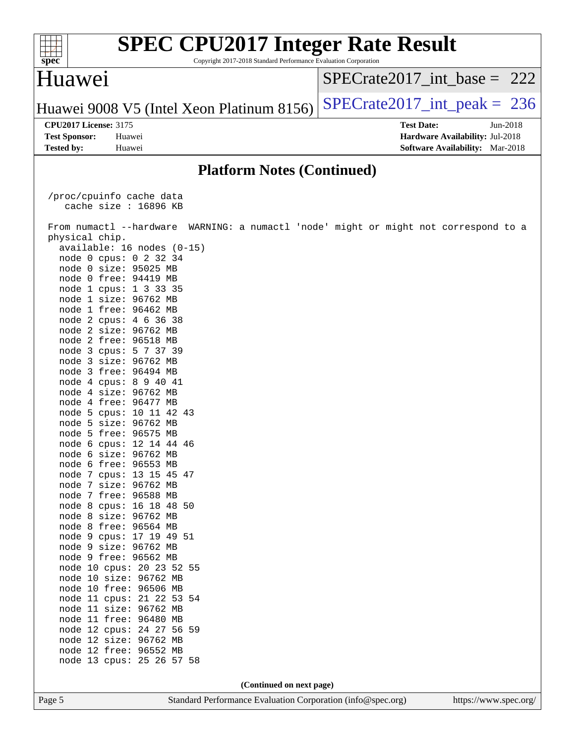| <b>SPEC CPU2017 Integer Rate Result</b><br>spec<br>Copyright 2017-2018 Standard Performance Evaluation Corporation |                                                              |
|--------------------------------------------------------------------------------------------------------------------|--------------------------------------------------------------|
| Huawei                                                                                                             | $SPECrate2017$ int base = 222                                |
| Huawei 9008 V5 (Intel Xeon Platinum 8156)                                                                          | $SPECTate2017\_int\_peak = 236$                              |
| <b>CPU2017 License: 3175</b>                                                                                       | <b>Test Date:</b><br>Jun-2018                                |
| <b>Test Sponsor:</b><br>Huawei                                                                                     | Hardware Availability: Jul-2018                              |
| <b>Tested by:</b><br>Huawei                                                                                        | <b>Software Availability:</b> Mar-2018                       |
| <b>Platform Notes (Continued)</b>                                                                                  |                                                              |
| /proc/cpuinfo cache data                                                                                           |                                                              |
| cache size : 16896 KB                                                                                              |                                                              |
|                                                                                                                    |                                                              |
| From numactl --hardware<br>physical chip.                                                                          | WARNING: a numactl 'node' might or might not correspond to a |
| available: 16 nodes (0-15)                                                                                         |                                                              |
| node 0 cpus: 0 2 32 34                                                                                             |                                                              |
| node 0 size: 95025 MB                                                                                              |                                                              |
| node 0 free: 94419 MB                                                                                              |                                                              |
| node 1 cpus: 1 3 33 35                                                                                             |                                                              |
| node 1 size: 96762 MB                                                                                              |                                                              |
| node 1 free: 96462 MB                                                                                              |                                                              |
| node 2 cpus: 4 6 36 38<br>node 2 size: 96762 MB                                                                    |                                                              |
| node 2 free: 96518 MB                                                                                              |                                                              |
| node 3 cpus: 5 7 37 39                                                                                             |                                                              |
| node 3 size: 96762 MB                                                                                              |                                                              |
| node 3 free: 96494 MB                                                                                              |                                                              |
| node 4 cpus: 8 9 40 41                                                                                             |                                                              |
| node 4 size: 96762 MB                                                                                              |                                                              |
| node 4 free: 96477 MB                                                                                              |                                                              |
| node 5 cpus: 10 11 42 43                                                                                           |                                                              |
| node 5 size: 96762 MB<br>node 5 free: 96575 MB                                                                     |                                                              |
| node 6 cpus: 12 14 44 46                                                                                           |                                                              |
| node 6 size: 96762 MB                                                                                              |                                                              |
| node 6 free: 96553 MB                                                                                              |                                                              |
| node 7 cpus: 13 15 45 47                                                                                           |                                                              |
| node 7 size: 96762 MB                                                                                              |                                                              |
| node 7 free: 96588 MB                                                                                              |                                                              |
| node 8 cpus: 16 18 48 50                                                                                           |                                                              |
| node 8 size: 96762 MB<br>node 8 free: 96564 MB                                                                     |                                                              |
| node 9 cpus: 17 19 49 51                                                                                           |                                                              |
| node 9 size: 96762 MB                                                                                              |                                                              |
| node 9 free: 96562 MB                                                                                              |                                                              |
| node 10 cpus: 20 23 52 55                                                                                          |                                                              |
| node 10 size: 96762 MB                                                                                             |                                                              |
| node 10 free: 96506 MB                                                                                             |                                                              |
| node 11 cpus: 21 22 53 54                                                                                          |                                                              |
| node 11 size: 96762 MB<br>node 11 free: 96480 MB                                                                   |                                                              |
| node 12 cpus: 24 27 56 59                                                                                          |                                                              |
| node 12 size: 96762 MB                                                                                             |                                                              |
| node 12 free: 96552 MB                                                                                             |                                                              |
| node 13 cpus: 25 26 57 58                                                                                          |                                                              |
|                                                                                                                    |                                                              |
| (Continued on next page)                                                                                           |                                                              |
| Page 5<br>Standard Performance Evaluation Corporation (info@spec.org)                                              | https://www.spec.org/                                        |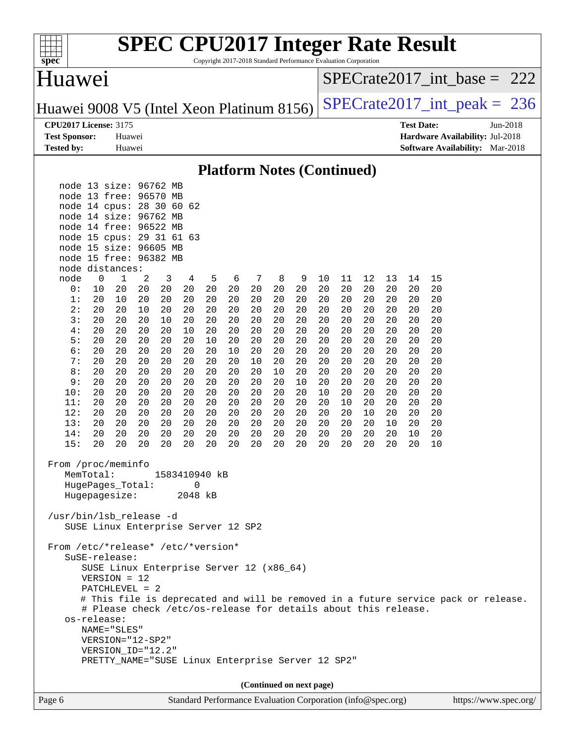| spec <sup>®</sup>                         |                                                  |                                                                |          |          |                    |          |          |          |          | Copyright 2017-2018 Standard Performance Evaluation Corporation |          |          |          |          |                   | <b>SPEC CPU2017 Integer Rate Result</b> |                                                                                    |          |  |
|-------------------------------------------|--------------------------------------------------|----------------------------------------------------------------|----------|----------|--------------------|----------|----------|----------|----------|-----------------------------------------------------------------|----------|----------|----------|----------|-------------------|-----------------------------------------|------------------------------------------------------------------------------------|----------|--|
| Huawei                                    |                                                  |                                                                |          |          |                    |          |          |          |          |                                                                 |          |          |          |          |                   |                                         | $SPECrate2017\_int\_base = 222$                                                    |          |  |
| Huawei 9008 V5 (Intel Xeon Platinum 8156) |                                                  |                                                                |          |          |                    |          |          |          |          |                                                                 |          |          |          |          |                   |                                         | $SPECrate2017\_int\_peak = 236$                                                    |          |  |
| <b>CPU2017 License: 3175</b>              |                                                  |                                                                |          |          |                    |          |          |          |          |                                                                 |          |          |          |          | <b>Test Date:</b> |                                         |                                                                                    | Jun-2018 |  |
| <b>Test Sponsor:</b>                      |                                                  | Huawei                                                         |          |          |                    |          |          |          |          |                                                                 |          |          |          |          |                   |                                         | Hardware Availability: Jul-2018                                                    |          |  |
| <b>Tested by:</b>                         |                                                  | Huawei                                                         |          |          |                    |          |          |          |          |                                                                 |          |          |          |          |                   |                                         | <b>Software Availability:</b> Mar-2018                                             |          |  |
|                                           |                                                  |                                                                |          |          |                    |          |          |          |          | <b>Platform Notes (Continued)</b>                               |          |          |          |          |                   |                                         |                                                                                    |          |  |
|                                           | node 13 size: 96762 MB<br>node 13 free: 96570 MB |                                                                |          |          |                    |          |          |          |          |                                                                 |          |          |          |          |                   |                                         |                                                                                    |          |  |
|                                           | node 14 cpus:                                    |                                                                | 28 30    |          | 60<br>62           |          |          |          |          |                                                                 |          |          |          |          |                   |                                         |                                                                                    |          |  |
|                                           | node 14 size: 96762                              |                                                                |          | МB       |                    |          |          |          |          |                                                                 |          |          |          |          |                   |                                         |                                                                                    |          |  |
|                                           | node 14 free: 96522 MB                           |                                                                |          |          |                    |          |          |          |          |                                                                 |          |          |          |          |                   |                                         |                                                                                    |          |  |
|                                           | node 15 cpus: 29 31 61 63                        |                                                                |          |          |                    |          |          |          |          |                                                                 |          |          |          |          |                   |                                         |                                                                                    |          |  |
|                                           | node 15 size: 96605 MB                           |                                                                |          |          |                    |          |          |          |          |                                                                 |          |          |          |          |                   |                                         |                                                                                    |          |  |
|                                           | node 15 free: 96382 MB                           |                                                                |          |          |                    |          |          |          |          |                                                                 |          |          |          |          |                   |                                         |                                                                                    |          |  |
| node                                      | node distances:<br>$\mathbf 0$                   | 1                                                              | 2        | 3        | 4                  | 5        | 6        | 7        | 8        | 9                                                               | 10       | 11       | 12       | 13       | 14                | 15                                      |                                                                                    |          |  |
| 0:                                        | 10                                               | 20                                                             | 20       | 20       | 20                 | 20       | 20       | 20       | 20       | 20                                                              | 20       | 20       | 20       | 20       | 20                | 20                                      |                                                                                    |          |  |
| 1:                                        | 20                                               | 10                                                             | 20       | 20       | 20                 | 20       | 20       | 20       | 20       | 20                                                              | 20       | 20       | 20       | 20       | 20                | 20                                      |                                                                                    |          |  |
| 2:                                        | 20                                               | 20                                                             | 10       | 20       | 20                 | 20       | 20       | 20       | 20       | 20                                                              | 20       | 20       | 20       | 20       | 20                | 20                                      |                                                                                    |          |  |
| 3:                                        | 20                                               | 20                                                             | 20       | 10       | 20                 | 20       | 20       | 20       | 20       | 20                                                              | 20       | 20       | 20       | 20       | 20                | 20                                      |                                                                                    |          |  |
| 4:                                        | 20                                               | 20                                                             | 20       | 20       | 10                 | 20       | 20       | 20       | 20       | 20                                                              | 20       | 20       | 20       | 20       | 20                | 20                                      |                                                                                    |          |  |
| 5:<br>6:                                  | 20<br>20                                         | 20<br>20                                                       | 20<br>20 | 20<br>20 | 20<br>20           | 10<br>20 | 20<br>10 | 20<br>20 | 20<br>20 | 20<br>20                                                        | 20<br>20 | 20<br>20 | 20<br>20 | 20<br>20 | 20<br>20          | 20<br>20                                |                                                                                    |          |  |
| 7:                                        | 20                                               | 20                                                             | 20       | 20       | 20                 | 20       | 20       | 10       | 20       | 20                                                              | 20       | 20       | 20       | 20       | 20                | 20                                      |                                                                                    |          |  |
| 8:                                        | 20                                               | 20                                                             | 20       | 20       | 20                 | 20       | 20       | 20       | 10       | 20                                                              | 20       | 20       | 20       | 20       | 20                | 20                                      |                                                                                    |          |  |
| 9 :                                       | 20                                               | 20                                                             | 20       | 20       | 20                 | 20       | 20       | 20       | 20       | 10                                                              | 20       | 20       | 20       | 20       | 20                | 20                                      |                                                                                    |          |  |
| 10:                                       | 20                                               | 20                                                             | 20       | 20       | 20                 | 20       | 20       | 20       | 20       | 20                                                              | 10       | 20       | 20       | 20       | 20                | 20                                      |                                                                                    |          |  |
| 11:                                       | 20                                               | 20                                                             | 20       | 20       | 20                 | 20       | 20       | 20       | 20       | 20                                                              | 20       | 10       | 20       | 20       | 20                | 20                                      |                                                                                    |          |  |
| 12:<br>13:                                | 20<br>20                                         | 20<br>20                                                       | 20<br>20 | 20<br>20 | 20<br>20           | 20<br>20 | 20<br>20 | 20<br>20 | 20<br>20 | 20<br>20                                                        | 20<br>20 | 20<br>20 | 10<br>20 | 20<br>10 | 20<br>20          | 20<br>20                                |                                                                                    |          |  |
| 14:                                       | 20                                               | 20                                                             | 20       | 20       | 20                 | 20       | 20       | 20       | 20       | 20                                                              | 20       | 20       | 20       | 20       | 10                | 20                                      |                                                                                    |          |  |
| 15:                                       | 20                                               | 20                                                             | 20       | 20       | 20                 | 20       | 20       | 20       | 20       | 20                                                              | 20       | 20       | 20       | 20       | 20                | 10                                      |                                                                                    |          |  |
| From /proc/meminfo                        | MemTotal:<br>HugePages Total:                    |                                                                |          |          | 1583410940 kB<br>0 |          |          |          |          |                                                                 |          |          |          |          |                   |                                         |                                                                                    |          |  |
|                                           | Hugepagesize:                                    |                                                                |          |          | 2048 kB            |          |          |          |          |                                                                 |          |          |          |          |                   |                                         |                                                                                    |          |  |
| /usr/bin/lsb_release -d                   | SUSE Linux Enterprise Server 12 SP2              |                                                                |          |          |                    |          |          |          |          |                                                                 |          |          |          |          |                   |                                         |                                                                                    |          |  |
| From /etc/*release* /etc/*version*        | SuSE-release:                                    | SUSE Linux Enterprise Server 12 (x86_64)                       |          |          |                    |          |          |          |          |                                                                 |          |          |          |          |                   |                                         |                                                                                    |          |  |
|                                           |                                                  | $VERSION = 12$                                                 |          |          |                    |          |          |          |          |                                                                 |          |          |          |          |                   |                                         |                                                                                    |          |  |
|                                           |                                                  | $PATCHLEVEL = 2$                                               |          |          |                    |          |          |          |          |                                                                 |          |          |          |          |                   |                                         |                                                                                    |          |  |
|                                           |                                                  | # Please check /etc/os-release for details about this release. |          |          |                    |          |          |          |          |                                                                 |          |          |          |          |                   |                                         | # This file is deprecated and will be removed in a future service pack or release. |          |  |
|                                           | os-release:                                      |                                                                |          |          |                    |          |          |          |          |                                                                 |          |          |          |          |                   |                                         |                                                                                    |          |  |
|                                           |                                                  | NAME="SLES"                                                    |          |          |                    |          |          |          |          |                                                                 |          |          |          |          |                   |                                         |                                                                                    |          |  |
|                                           |                                                  | VERSION="12-SP2"<br>VERSION_ID="12.2"                          |          |          |                    |          |          |          |          |                                                                 |          |          |          |          |                   |                                         |                                                                                    |          |  |
|                                           |                                                  | PRETTY_NAME="SUSE Linux Enterprise Server 12 SP2"              |          |          |                    |          |          |          |          |                                                                 |          |          |          |          |                   |                                         |                                                                                    |          |  |
|                                           |                                                  |                                                                |          |          |                    |          |          |          |          |                                                                 |          |          |          |          |                   |                                         |                                                                                    |          |  |
|                                           |                                                  |                                                                |          |          |                    |          |          |          |          | (Continued on next page)                                        |          |          |          |          |                   |                                         |                                                                                    |          |  |
| Page 6                                    |                                                  |                                                                |          |          |                    |          |          |          |          | Standard Performance Evaluation Corporation (info@spec.org)     |          |          |          |          |                   |                                         | https://www.spec.org/                                                              |          |  |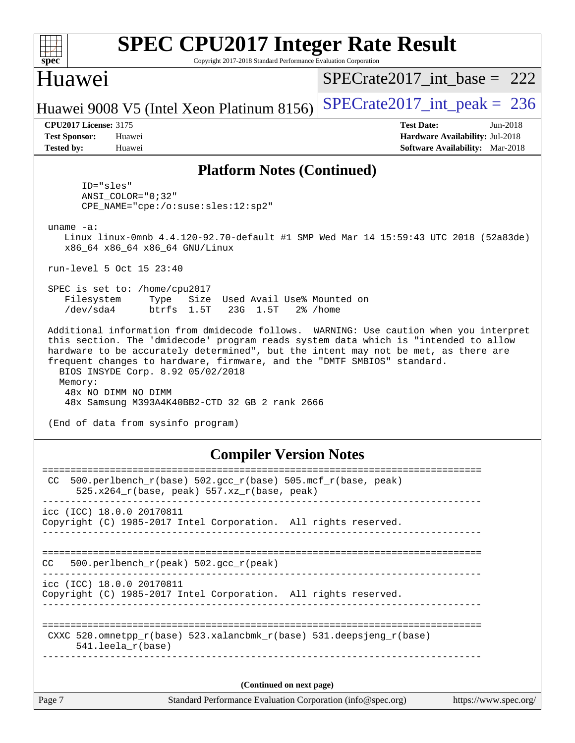| <b>SPEC CPU2017 Integer Rate Result</b><br>$spec^*$<br>Copyright 2017-2018 Standard Performance Evaluation Corporation                                                                                                                                                                                                                                                                                                                                                                                        |                                                                    |
|---------------------------------------------------------------------------------------------------------------------------------------------------------------------------------------------------------------------------------------------------------------------------------------------------------------------------------------------------------------------------------------------------------------------------------------------------------------------------------------------------------------|--------------------------------------------------------------------|
| Huawei                                                                                                                                                                                                                                                                                                                                                                                                                                                                                                        | $SPECrate2017$ int base = 222                                      |
| Huawei 9008 V5 (Intel Xeon Platinum 8156)                                                                                                                                                                                                                                                                                                                                                                                                                                                                     | $SPECrate2017\_int\_peak = 236$                                    |
| <b>CPU2017 License: 3175</b><br><b>Test Sponsor:</b><br>Huawei                                                                                                                                                                                                                                                                                                                                                                                                                                                | <b>Test Date:</b><br>$Jun-2018$<br>Hardware Availability: Jul-2018 |
| <b>Tested by:</b><br>Huawei                                                                                                                                                                                                                                                                                                                                                                                                                                                                                   | <b>Software Availability:</b> Mar-2018                             |
| <b>Platform Notes (Continued)</b>                                                                                                                                                                                                                                                                                                                                                                                                                                                                             |                                                                    |
| ID="sles"<br>$ANSI$ _COLOR=" $0:32$ "<br>CPE_NAME="cpe:/o:suse:sles:12:sp2"                                                                                                                                                                                                                                                                                                                                                                                                                                   |                                                                    |
| uname $-a$ :<br>Linux linux-0mnb 4.4.120-92.70-default #1 SMP Wed Mar 14 15:59:43 UTC 2018 (52a83de)<br>x86_64 x86_64 x86_64 GNU/Linux                                                                                                                                                                                                                                                                                                                                                                        |                                                                    |
| run-level 5 Oct 15 23:40                                                                                                                                                                                                                                                                                                                                                                                                                                                                                      |                                                                    |
| SPEC is set to: /home/cpu2017<br>Filesystem<br>Size Used Avail Use% Mounted on<br>Type<br>/dev/sda4<br>btrfs 1.5T<br>23G 1.5T                                                                                                                                                                                                                                                                                                                                                                                 | $2\%$ /home                                                        |
| Additional information from dmidecode follows. WARNING: Use caution when you interpret<br>this section. The 'dmidecode' program reads system data which is "intended to allow<br>hardware to be accurately determined", but the intent may not be met, as there are<br>frequent changes to hardware, firmware, and the "DMTF SMBIOS" standard.<br>BIOS INSYDE Corp. 8.92 05/02/2018<br>Memory:<br>48x NO DIMM NO DIMM<br>48x Samsung M393A4K40BB2-CTD 32 GB 2 rank 2666<br>(End of data from sysinfo program) |                                                                    |
| <b>Compiler Version Notes</b>                                                                                                                                                                                                                                                                                                                                                                                                                                                                                 |                                                                    |
| 500.perlbench_r(base) 502.gcc_r(base) 505.mcf_r(base, peak)<br>CC.<br>525.x264_r(base, peak) 557.xz_r(base, peak)                                                                                                                                                                                                                                                                                                                                                                                             |                                                                    |
| icc (ICC) 18.0.0 20170811<br>Copyright (C) 1985-2017 Intel Corporation. All rights reserved.                                                                                                                                                                                                                                                                                                                                                                                                                  |                                                                    |
| 500.perlbench_r(peak) 502.gcc_r(peak)<br>CC                                                                                                                                                                                                                                                                                                                                                                                                                                                                   |                                                                    |
| icc (ICC) 18.0.0 20170811<br>Copyright (C) 1985-2017 Intel Corporation. All rights reserved.                                                                                                                                                                                                                                                                                                                                                                                                                  |                                                                    |
| CXXC 520.omnetpp_r(base) 523.xalancbmk_r(base) 531.deepsjeng_r(base)<br>541.leela_r(base)                                                                                                                                                                                                                                                                                                                                                                                                                     |                                                                    |
|                                                                                                                                                                                                                                                                                                                                                                                                                                                                                                               |                                                                    |
| (Continued on next page)                                                                                                                                                                                                                                                                                                                                                                                                                                                                                      |                                                                    |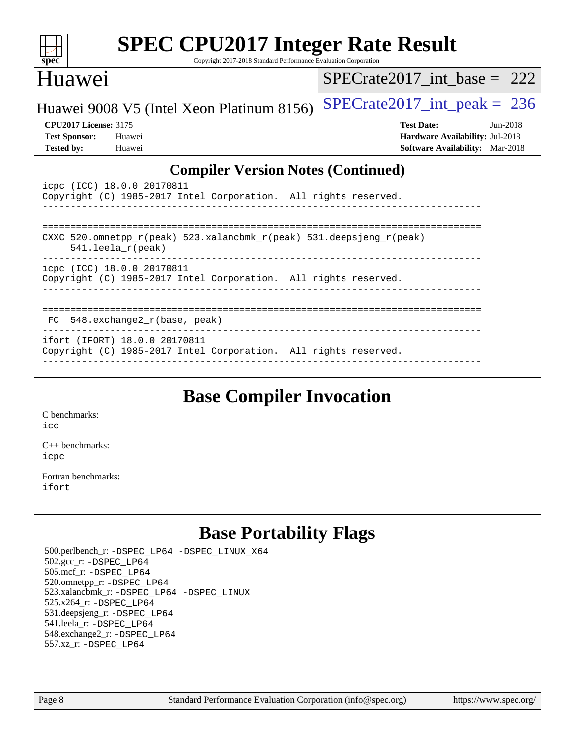| S<br>e<br>IJ<br>U |  |  |  |  |  |  |  |  |
|-------------------|--|--|--|--|--|--|--|--|

Copyright 2017-2018 Standard Performance Evaluation Corporation

## Huawei

[SPECrate2017\\_int\\_base =](http://www.spec.org/auto/cpu2017/Docs/result-fields.html#SPECrate2017intbase) 222

Huawei 9008 V5 (Intel Xeon Platinum 8156) SPECrate  $2017$ \_int\_peak = 236

**[CPU2017 License:](http://www.spec.org/auto/cpu2017/Docs/result-fields.html#CPU2017License)** 3175 **[Test Date:](http://www.spec.org/auto/cpu2017/Docs/result-fields.html#TestDate)** Jun-2018 **[Test Sponsor:](http://www.spec.org/auto/cpu2017/Docs/result-fields.html#TestSponsor)** Huawei **[Hardware Availability:](http://www.spec.org/auto/cpu2017/Docs/result-fields.html#HardwareAvailability)** Jul-2018 **[Tested by:](http://www.spec.org/auto/cpu2017/Docs/result-fields.html#Testedby)** Huawei **[Software Availability:](http://www.spec.org/auto/cpu2017/Docs/result-fields.html#SoftwareAvailability)** Mar-2018

#### **[Compiler Version Notes \(Continued\)](http://www.spec.org/auto/cpu2017/Docs/result-fields.html#CompilerVersionNotes)**

| icpc (ICC) 18.0.0 20170811<br>Copyright (C) 1985-2017 Intel Corporation. All rights reserved.    |  |  |  |  |  |  |  |  |
|--------------------------------------------------------------------------------------------------|--|--|--|--|--|--|--|--|
|                                                                                                  |  |  |  |  |  |  |  |  |
| CXXC 520.omnetpp_r(peak) 523.xalancbmk_r(peak) 531.deepsjeng_r(peak)<br>$541.$ leela $r$ (peak)  |  |  |  |  |  |  |  |  |
| icpc (ICC) 18.0.0 20170811<br>Copyright (C) 1985-2017 Intel Corporation. All rights reserved.    |  |  |  |  |  |  |  |  |
| $FC$ 548. exchange $2/r$ (base, peak)                                                            |  |  |  |  |  |  |  |  |
| ifort (IFORT) 18.0.0 20170811<br>Copyright (C) 1985-2017 Intel Corporation. All rights reserved. |  |  |  |  |  |  |  |  |

## **[Base Compiler Invocation](http://www.spec.org/auto/cpu2017/Docs/result-fields.html#BaseCompilerInvocation)**

[C benchmarks](http://www.spec.org/auto/cpu2017/Docs/result-fields.html#Cbenchmarks): [icc](http://www.spec.org/cpu2017/results/res2018q4/cpu2017-20181017-09259.flags.html#user_CCbase_intel_icc_18.0_66fc1ee009f7361af1fbd72ca7dcefbb700085f36577c54f309893dd4ec40d12360134090235512931783d35fd58c0460139e722d5067c5574d8eaf2b3e37e92)

[C++ benchmarks:](http://www.spec.org/auto/cpu2017/Docs/result-fields.html#CXXbenchmarks) [icpc](http://www.spec.org/cpu2017/results/res2018q4/cpu2017-20181017-09259.flags.html#user_CXXbase_intel_icpc_18.0_c510b6838c7f56d33e37e94d029a35b4a7bccf4766a728ee175e80a419847e808290a9b78be685c44ab727ea267ec2f070ec5dc83b407c0218cded6866a35d07)

[Fortran benchmarks](http://www.spec.org/auto/cpu2017/Docs/result-fields.html#Fortranbenchmarks): [ifort](http://www.spec.org/cpu2017/results/res2018q4/cpu2017-20181017-09259.flags.html#user_FCbase_intel_ifort_18.0_8111460550e3ca792625aed983ce982f94888b8b503583aa7ba2b8303487b4d8a21a13e7191a45c5fd58ff318f48f9492884d4413fa793fd88dd292cad7027ca)

# **[Base Portability Flags](http://www.spec.org/auto/cpu2017/Docs/result-fields.html#BasePortabilityFlags)**

 500.perlbench\_r: [-DSPEC\\_LP64](http://www.spec.org/cpu2017/results/res2018q4/cpu2017-20181017-09259.flags.html#b500.perlbench_r_basePORTABILITY_DSPEC_LP64) [-DSPEC\\_LINUX\\_X64](http://www.spec.org/cpu2017/results/res2018q4/cpu2017-20181017-09259.flags.html#b500.perlbench_r_baseCPORTABILITY_DSPEC_LINUX_X64) 502.gcc\_r: [-DSPEC\\_LP64](http://www.spec.org/cpu2017/results/res2018q4/cpu2017-20181017-09259.flags.html#suite_basePORTABILITY502_gcc_r_DSPEC_LP64) 505.mcf\_r: [-DSPEC\\_LP64](http://www.spec.org/cpu2017/results/res2018q4/cpu2017-20181017-09259.flags.html#suite_basePORTABILITY505_mcf_r_DSPEC_LP64) 520.omnetpp\_r: [-DSPEC\\_LP64](http://www.spec.org/cpu2017/results/res2018q4/cpu2017-20181017-09259.flags.html#suite_basePORTABILITY520_omnetpp_r_DSPEC_LP64) 523.xalancbmk\_r: [-DSPEC\\_LP64](http://www.spec.org/cpu2017/results/res2018q4/cpu2017-20181017-09259.flags.html#suite_basePORTABILITY523_xalancbmk_r_DSPEC_LP64) [-DSPEC\\_LINUX](http://www.spec.org/cpu2017/results/res2018q4/cpu2017-20181017-09259.flags.html#b523.xalancbmk_r_baseCXXPORTABILITY_DSPEC_LINUX) 525.x264\_r: [-DSPEC\\_LP64](http://www.spec.org/cpu2017/results/res2018q4/cpu2017-20181017-09259.flags.html#suite_basePORTABILITY525_x264_r_DSPEC_LP64) 531.deepsjeng\_r: [-DSPEC\\_LP64](http://www.spec.org/cpu2017/results/res2018q4/cpu2017-20181017-09259.flags.html#suite_basePORTABILITY531_deepsjeng_r_DSPEC_LP64) 541.leela\_r: [-DSPEC\\_LP64](http://www.spec.org/cpu2017/results/res2018q4/cpu2017-20181017-09259.flags.html#suite_basePORTABILITY541_leela_r_DSPEC_LP64) 548.exchange2\_r: [-DSPEC\\_LP64](http://www.spec.org/cpu2017/results/res2018q4/cpu2017-20181017-09259.flags.html#suite_basePORTABILITY548_exchange2_r_DSPEC_LP64) 557.xz\_r: [-DSPEC\\_LP64](http://www.spec.org/cpu2017/results/res2018q4/cpu2017-20181017-09259.flags.html#suite_basePORTABILITY557_xz_r_DSPEC_LP64)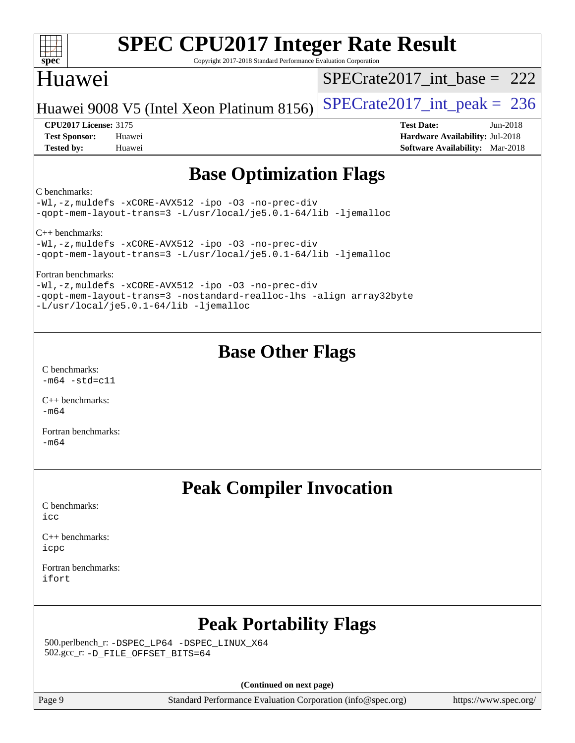| spec                         | <b>SPEC CPU2017 Integer Rate Result</b><br>Copyright 2017-2018 Standard Performance Evaluation Corporation                |                                        |  |
|------------------------------|---------------------------------------------------------------------------------------------------------------------------|----------------------------------------|--|
| Huawei                       |                                                                                                                           | $SPECrate2017\_int\_base = 222$        |  |
|                              | Huawei 9008 V5 (Intel Xeon Platinum 8156)                                                                                 | $SPECTate2017\_int\_peak = 236$        |  |
| <b>CPU2017 License: 3175</b> |                                                                                                                           | <b>Test Date:</b><br>$Jun-2018$        |  |
| <b>Test Sponsor:</b>         | Huawei                                                                                                                    | <b>Hardware Availability: Jul-2018</b> |  |
| <b>Tested by:</b>            | Huawei                                                                                                                    | <b>Software Availability:</b> Mar-2018 |  |
|                              | <b>Base Optimization Flags</b>                                                                                            |                                        |  |
| C benchmarks:                |                                                                                                                           |                                        |  |
|                              | $-Wl$ ,-z, muldefs -xCORE-AVX512 -ipo -03 -no-prec-div<br>-qopt-mem-layout-trans=3 -L/usr/local/je5.0.1-64/lib -ljemalloc |                                        |  |
| $C_{++}$ benchmarks:         | $-Wl$ ,-z, muldefs -xCORE-AVX512 -ipo -03 -no-prec-div<br>-qopt-mem-layout-trans=3 -L/usr/local/je5.0.1-64/lib -ljemalloc |                                        |  |

[Fortran benchmarks:](http://www.spec.org/auto/cpu2017/Docs/result-fields.html#Fortranbenchmarks)

[-Wl,-z,muldefs](http://www.spec.org/cpu2017/results/res2018q4/cpu2017-20181017-09259.flags.html#user_FCbase_link_force_multiple1_b4cbdb97b34bdee9ceefcfe54f4c8ea74255f0b02a4b23e853cdb0e18eb4525ac79b5a88067c842dd0ee6996c24547a27a4b99331201badda8798ef8a743f577) [-xCORE-AVX512](http://www.spec.org/cpu2017/results/res2018q4/cpu2017-20181017-09259.flags.html#user_FCbase_f-xCORE-AVX512) [-ipo](http://www.spec.org/cpu2017/results/res2018q4/cpu2017-20181017-09259.flags.html#user_FCbase_f-ipo) [-O3](http://www.spec.org/cpu2017/results/res2018q4/cpu2017-20181017-09259.flags.html#user_FCbase_f-O3) [-no-prec-div](http://www.spec.org/cpu2017/results/res2018q4/cpu2017-20181017-09259.flags.html#user_FCbase_f-no-prec-div) [-qopt-mem-layout-trans=3](http://www.spec.org/cpu2017/results/res2018q4/cpu2017-20181017-09259.flags.html#user_FCbase_f-qopt-mem-layout-trans_de80db37974c74b1f0e20d883f0b675c88c3b01e9d123adea9b28688d64333345fb62bc4a798493513fdb68f60282f9a726aa07f478b2f7113531aecce732043) [-nostandard-realloc-lhs](http://www.spec.org/cpu2017/results/res2018q4/cpu2017-20181017-09259.flags.html#user_FCbase_f_2003_std_realloc_82b4557e90729c0f113870c07e44d33d6f5a304b4f63d4c15d2d0f1fab99f5daaed73bdb9275d9ae411527f28b936061aa8b9c8f2d63842963b95c9dd6426b8a) [-align array32byte](http://www.spec.org/cpu2017/results/res2018q4/cpu2017-20181017-09259.flags.html#user_FCbase_align_array32byte_b982fe038af199962ba9a80c053b8342c548c85b40b8e86eb3cc33dee0d7986a4af373ac2d51c3f7cf710a18d62fdce2948f201cd044323541f22fc0fffc51b6) [-L/usr/local/je5.0.1-64/lib](http://www.spec.org/cpu2017/results/res2018q4/cpu2017-20181017-09259.flags.html#user_FCbase_jemalloc_link_path64_4b10a636b7bce113509b17f3bd0d6226c5fb2346b9178c2d0232c14f04ab830f976640479e5c33dc2bcbbdad86ecfb6634cbbd4418746f06f368b512fced5394) [-ljemalloc](http://www.spec.org/cpu2017/results/res2018q4/cpu2017-20181017-09259.flags.html#user_FCbase_jemalloc_link_lib_d1249b907c500fa1c0672f44f562e3d0f79738ae9e3c4a9c376d49f265a04b9c99b167ecedbf6711b3085be911c67ff61f150a17b3472be731631ba4d0471706)

## **[Base Other Flags](http://www.spec.org/auto/cpu2017/Docs/result-fields.html#BaseOtherFlags)**

[C benchmarks](http://www.spec.org/auto/cpu2017/Docs/result-fields.html#Cbenchmarks):  $-m64 - std= c11$  $-m64 - std= c11$ 

[C++ benchmarks:](http://www.spec.org/auto/cpu2017/Docs/result-fields.html#CXXbenchmarks) [-m64](http://www.spec.org/cpu2017/results/res2018q4/cpu2017-20181017-09259.flags.html#user_CXXbase_intel_intel64_18.0_af43caccfc8ded86e7699f2159af6efc7655f51387b94da716254467f3c01020a5059329e2569e4053f409e7c9202a7efc638f7a6d1ffb3f52dea4a3e31d82ab)

[Fortran benchmarks](http://www.spec.org/auto/cpu2017/Docs/result-fields.html#Fortranbenchmarks): [-m64](http://www.spec.org/cpu2017/results/res2018q4/cpu2017-20181017-09259.flags.html#user_FCbase_intel_intel64_18.0_af43caccfc8ded86e7699f2159af6efc7655f51387b94da716254467f3c01020a5059329e2569e4053f409e7c9202a7efc638f7a6d1ffb3f52dea4a3e31d82ab)

## **[Peak Compiler Invocation](http://www.spec.org/auto/cpu2017/Docs/result-fields.html#PeakCompilerInvocation)**

[C benchmarks](http://www.spec.org/auto/cpu2017/Docs/result-fields.html#Cbenchmarks): [icc](http://www.spec.org/cpu2017/results/res2018q4/cpu2017-20181017-09259.flags.html#user_CCpeak_intel_icc_18.0_66fc1ee009f7361af1fbd72ca7dcefbb700085f36577c54f309893dd4ec40d12360134090235512931783d35fd58c0460139e722d5067c5574d8eaf2b3e37e92)

[C++ benchmarks:](http://www.spec.org/auto/cpu2017/Docs/result-fields.html#CXXbenchmarks) [icpc](http://www.spec.org/cpu2017/results/res2018q4/cpu2017-20181017-09259.flags.html#user_CXXpeak_intel_icpc_18.0_c510b6838c7f56d33e37e94d029a35b4a7bccf4766a728ee175e80a419847e808290a9b78be685c44ab727ea267ec2f070ec5dc83b407c0218cded6866a35d07)

[Fortran benchmarks](http://www.spec.org/auto/cpu2017/Docs/result-fields.html#Fortranbenchmarks): [ifort](http://www.spec.org/cpu2017/results/res2018q4/cpu2017-20181017-09259.flags.html#user_FCpeak_intel_ifort_18.0_8111460550e3ca792625aed983ce982f94888b8b503583aa7ba2b8303487b4d8a21a13e7191a45c5fd58ff318f48f9492884d4413fa793fd88dd292cad7027ca)

# **[Peak Portability Flags](http://www.spec.org/auto/cpu2017/Docs/result-fields.html#PeakPortabilityFlags)**

 500.perlbench\_r: [-DSPEC\\_LP64](http://www.spec.org/cpu2017/results/res2018q4/cpu2017-20181017-09259.flags.html#b500.perlbench_r_peakPORTABILITY_DSPEC_LP64) [-DSPEC\\_LINUX\\_X64](http://www.spec.org/cpu2017/results/res2018q4/cpu2017-20181017-09259.flags.html#b500.perlbench_r_peakCPORTABILITY_DSPEC_LINUX_X64) 502.gcc\_r: [-D\\_FILE\\_OFFSET\\_BITS=64](http://www.spec.org/cpu2017/results/res2018q4/cpu2017-20181017-09259.flags.html#user_peakPORTABILITY502_gcc_r_file_offset_bits_64_5ae949a99b284ddf4e95728d47cb0843d81b2eb0e18bdfe74bbf0f61d0b064f4bda2f10ea5eb90e1dcab0e84dbc592acfc5018bc955c18609f94ddb8d550002c)

**(Continued on next page)**

Page 9 Standard Performance Evaluation Corporation [\(info@spec.org\)](mailto:info@spec.org) <https://www.spec.org/>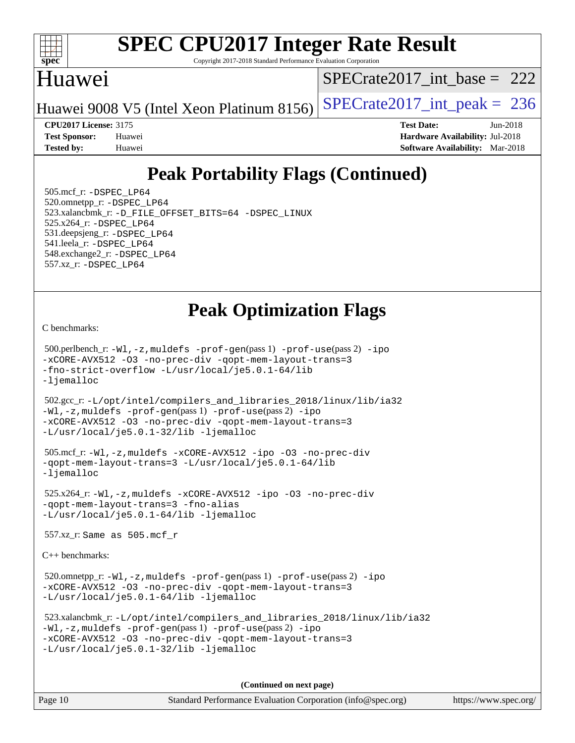

Copyright 2017-2018 Standard Performance Evaluation Corporation

#### Huawei

[SPECrate2017\\_int\\_base =](http://www.spec.org/auto/cpu2017/Docs/result-fields.html#SPECrate2017intbase) 222

Huawei 9008 V5 (Intel Xeon Platinum 8156) SPECrate  $2017$ \_int\_peak = 236

**[CPU2017 License:](http://www.spec.org/auto/cpu2017/Docs/result-fields.html#CPU2017License)** 3175 **[Test Date:](http://www.spec.org/auto/cpu2017/Docs/result-fields.html#TestDate)** Jun-2018

**[Test Sponsor:](http://www.spec.org/auto/cpu2017/Docs/result-fields.html#TestSponsor)** Huawei **[Hardware Availability:](http://www.spec.org/auto/cpu2017/Docs/result-fields.html#HardwareAvailability)** Jul-2018 **[Tested by:](http://www.spec.org/auto/cpu2017/Docs/result-fields.html#Testedby)** Huawei **[Software Availability:](http://www.spec.org/auto/cpu2017/Docs/result-fields.html#SoftwareAvailability)** Mar-2018

# **[Peak Portability Flags \(Continued\)](http://www.spec.org/auto/cpu2017/Docs/result-fields.html#PeakPortabilityFlags)**

 505.mcf\_r: [-DSPEC\\_LP64](http://www.spec.org/cpu2017/results/res2018q4/cpu2017-20181017-09259.flags.html#suite_peakPORTABILITY505_mcf_r_DSPEC_LP64) 520.omnetpp\_r: [-DSPEC\\_LP64](http://www.spec.org/cpu2017/results/res2018q4/cpu2017-20181017-09259.flags.html#suite_peakPORTABILITY520_omnetpp_r_DSPEC_LP64) 523.xalancbmk\_r: [-D\\_FILE\\_OFFSET\\_BITS=64](http://www.spec.org/cpu2017/results/res2018q4/cpu2017-20181017-09259.flags.html#user_peakPORTABILITY523_xalancbmk_r_file_offset_bits_64_5ae949a99b284ddf4e95728d47cb0843d81b2eb0e18bdfe74bbf0f61d0b064f4bda2f10ea5eb90e1dcab0e84dbc592acfc5018bc955c18609f94ddb8d550002c) [-DSPEC\\_LINUX](http://www.spec.org/cpu2017/results/res2018q4/cpu2017-20181017-09259.flags.html#b523.xalancbmk_r_peakCXXPORTABILITY_DSPEC_LINUX) 525.x264\_r: [-DSPEC\\_LP64](http://www.spec.org/cpu2017/results/res2018q4/cpu2017-20181017-09259.flags.html#suite_peakPORTABILITY525_x264_r_DSPEC_LP64) 531.deepsjeng\_r: [-DSPEC\\_LP64](http://www.spec.org/cpu2017/results/res2018q4/cpu2017-20181017-09259.flags.html#suite_peakPORTABILITY531_deepsjeng_r_DSPEC_LP64) 541.leela\_r: [-DSPEC\\_LP64](http://www.spec.org/cpu2017/results/res2018q4/cpu2017-20181017-09259.flags.html#suite_peakPORTABILITY541_leela_r_DSPEC_LP64) 548.exchange2\_r: [-DSPEC\\_LP64](http://www.spec.org/cpu2017/results/res2018q4/cpu2017-20181017-09259.flags.html#suite_peakPORTABILITY548_exchange2_r_DSPEC_LP64) 557.xz\_r: [-DSPEC\\_LP64](http://www.spec.org/cpu2017/results/res2018q4/cpu2017-20181017-09259.flags.html#suite_peakPORTABILITY557_xz_r_DSPEC_LP64)

## **[Peak Optimization Flags](http://www.spec.org/auto/cpu2017/Docs/result-fields.html#PeakOptimizationFlags)**

[C benchmarks](http://www.spec.org/auto/cpu2017/Docs/result-fields.html#Cbenchmarks):

 500.perlbench\_r: [-Wl,-z,muldefs](http://www.spec.org/cpu2017/results/res2018q4/cpu2017-20181017-09259.flags.html#user_peakEXTRA_LDFLAGS500_perlbench_r_link_force_multiple1_b4cbdb97b34bdee9ceefcfe54f4c8ea74255f0b02a4b23e853cdb0e18eb4525ac79b5a88067c842dd0ee6996c24547a27a4b99331201badda8798ef8a743f577) [-prof-gen](http://www.spec.org/cpu2017/results/res2018q4/cpu2017-20181017-09259.flags.html#user_peakPASS1_CFLAGSPASS1_LDFLAGS500_perlbench_r_prof_gen_5aa4926d6013ddb2a31985c654b3eb18169fc0c6952a63635c234f711e6e63dd76e94ad52365559451ec499a2cdb89e4dc58ba4c67ef54ca681ffbe1461d6b36)(pass 1) [-prof-use](http://www.spec.org/cpu2017/results/res2018q4/cpu2017-20181017-09259.flags.html#user_peakPASS2_CFLAGSPASS2_LDFLAGS500_perlbench_r_prof_use_1a21ceae95f36a2b53c25747139a6c16ca95bd9def2a207b4f0849963b97e94f5260e30a0c64f4bb623698870e679ca08317ef8150905d41bd88c6f78df73f19)(pass 2) [-ipo](http://www.spec.org/cpu2017/results/res2018q4/cpu2017-20181017-09259.flags.html#user_peakPASS1_COPTIMIZEPASS2_COPTIMIZE500_perlbench_r_f-ipo) [-xCORE-AVX512](http://www.spec.org/cpu2017/results/res2018q4/cpu2017-20181017-09259.flags.html#user_peakPASS2_COPTIMIZE500_perlbench_r_f-xCORE-AVX512) [-O3](http://www.spec.org/cpu2017/results/res2018q4/cpu2017-20181017-09259.flags.html#user_peakPASS1_COPTIMIZEPASS2_COPTIMIZE500_perlbench_r_f-O3) [-no-prec-div](http://www.spec.org/cpu2017/results/res2018q4/cpu2017-20181017-09259.flags.html#user_peakPASS1_COPTIMIZEPASS2_COPTIMIZE500_perlbench_r_f-no-prec-div) [-qopt-mem-layout-trans=3](http://www.spec.org/cpu2017/results/res2018q4/cpu2017-20181017-09259.flags.html#user_peakPASS1_COPTIMIZEPASS2_COPTIMIZE500_perlbench_r_f-qopt-mem-layout-trans_de80db37974c74b1f0e20d883f0b675c88c3b01e9d123adea9b28688d64333345fb62bc4a798493513fdb68f60282f9a726aa07f478b2f7113531aecce732043) [-fno-strict-overflow](http://www.spec.org/cpu2017/results/res2018q4/cpu2017-20181017-09259.flags.html#user_peakEXTRA_OPTIMIZE500_perlbench_r_f-fno-strict-overflow) [-L/usr/local/je5.0.1-64/lib](http://www.spec.org/cpu2017/results/res2018q4/cpu2017-20181017-09259.flags.html#user_peakEXTRA_LIBS500_perlbench_r_jemalloc_link_path64_4b10a636b7bce113509b17f3bd0d6226c5fb2346b9178c2d0232c14f04ab830f976640479e5c33dc2bcbbdad86ecfb6634cbbd4418746f06f368b512fced5394) [-ljemalloc](http://www.spec.org/cpu2017/results/res2018q4/cpu2017-20181017-09259.flags.html#user_peakEXTRA_LIBS500_perlbench_r_jemalloc_link_lib_d1249b907c500fa1c0672f44f562e3d0f79738ae9e3c4a9c376d49f265a04b9c99b167ecedbf6711b3085be911c67ff61f150a17b3472be731631ba4d0471706)

 502.gcc\_r: [-L/opt/intel/compilers\\_and\\_libraries\\_2018/linux/lib/ia32](http://www.spec.org/cpu2017/results/res2018q4/cpu2017-20181017-09259.flags.html#user_peakCCLD502_gcc_r_Enable-32bit-runtime_af243bdb1d79e4c7a4f720bf8275e627de2ecd461de63307bc14cef0633fde3cd7bb2facb32dcc8be9566045fb55d40ce2b72b725f73827aa7833441b71b9343) [-Wl,-z,muldefs](http://www.spec.org/cpu2017/results/res2018q4/cpu2017-20181017-09259.flags.html#user_peakEXTRA_LDFLAGS502_gcc_r_link_force_multiple1_b4cbdb97b34bdee9ceefcfe54f4c8ea74255f0b02a4b23e853cdb0e18eb4525ac79b5a88067c842dd0ee6996c24547a27a4b99331201badda8798ef8a743f577) [-prof-gen](http://www.spec.org/cpu2017/results/res2018q4/cpu2017-20181017-09259.flags.html#user_peakPASS1_CFLAGSPASS1_LDFLAGS502_gcc_r_prof_gen_5aa4926d6013ddb2a31985c654b3eb18169fc0c6952a63635c234f711e6e63dd76e94ad52365559451ec499a2cdb89e4dc58ba4c67ef54ca681ffbe1461d6b36)(pass 1) [-prof-use](http://www.spec.org/cpu2017/results/res2018q4/cpu2017-20181017-09259.flags.html#user_peakPASS2_CFLAGSPASS2_LDFLAGS502_gcc_r_prof_use_1a21ceae95f36a2b53c25747139a6c16ca95bd9def2a207b4f0849963b97e94f5260e30a0c64f4bb623698870e679ca08317ef8150905d41bd88c6f78df73f19)(pass 2) [-ipo](http://www.spec.org/cpu2017/results/res2018q4/cpu2017-20181017-09259.flags.html#user_peakPASS1_COPTIMIZEPASS2_COPTIMIZE502_gcc_r_f-ipo) [-xCORE-AVX512](http://www.spec.org/cpu2017/results/res2018q4/cpu2017-20181017-09259.flags.html#user_peakPASS2_COPTIMIZE502_gcc_r_f-xCORE-AVX512) [-O3](http://www.spec.org/cpu2017/results/res2018q4/cpu2017-20181017-09259.flags.html#user_peakPASS1_COPTIMIZEPASS2_COPTIMIZE502_gcc_r_f-O3) [-no-prec-div](http://www.spec.org/cpu2017/results/res2018q4/cpu2017-20181017-09259.flags.html#user_peakPASS1_COPTIMIZEPASS2_COPTIMIZE502_gcc_r_f-no-prec-div) [-qopt-mem-layout-trans=3](http://www.spec.org/cpu2017/results/res2018q4/cpu2017-20181017-09259.flags.html#user_peakPASS1_COPTIMIZEPASS2_COPTIMIZE502_gcc_r_f-qopt-mem-layout-trans_de80db37974c74b1f0e20d883f0b675c88c3b01e9d123adea9b28688d64333345fb62bc4a798493513fdb68f60282f9a726aa07f478b2f7113531aecce732043) [-L/usr/local/je5.0.1-32/lib](http://www.spec.org/cpu2017/results/res2018q4/cpu2017-20181017-09259.flags.html#user_peakEXTRA_LIBS502_gcc_r_jemalloc_link_path32_e29f22e8e6c17053bbc6a0971f5a9c01a601a06bb1a59df2084b77a2fe0a2995b64fd4256feaeea39eeba3aae142e96e2b2b0a28974019c0c0c88139a84f900a) [-ljemalloc](http://www.spec.org/cpu2017/results/res2018q4/cpu2017-20181017-09259.flags.html#user_peakEXTRA_LIBS502_gcc_r_jemalloc_link_lib_d1249b907c500fa1c0672f44f562e3d0f79738ae9e3c4a9c376d49f265a04b9c99b167ecedbf6711b3085be911c67ff61f150a17b3472be731631ba4d0471706)

```
 505.mcf_r: -Wl,-z,muldefs -xCORE-AVX512 -ipo -O3 -no-prec-div
-qopt-mem-layout-trans=3 -L/usr/local/je5.0.1-64/lib
-ljemalloc
```
 525.x264\_r: [-Wl,-z,muldefs](http://www.spec.org/cpu2017/results/res2018q4/cpu2017-20181017-09259.flags.html#user_peakEXTRA_LDFLAGS525_x264_r_link_force_multiple1_b4cbdb97b34bdee9ceefcfe54f4c8ea74255f0b02a4b23e853cdb0e18eb4525ac79b5a88067c842dd0ee6996c24547a27a4b99331201badda8798ef8a743f577) [-xCORE-AVX512](http://www.spec.org/cpu2017/results/res2018q4/cpu2017-20181017-09259.flags.html#user_peakCOPTIMIZE525_x264_r_f-xCORE-AVX512) [-ipo](http://www.spec.org/cpu2017/results/res2018q4/cpu2017-20181017-09259.flags.html#user_peakCOPTIMIZE525_x264_r_f-ipo) [-O3](http://www.spec.org/cpu2017/results/res2018q4/cpu2017-20181017-09259.flags.html#user_peakCOPTIMIZE525_x264_r_f-O3) [-no-prec-div](http://www.spec.org/cpu2017/results/res2018q4/cpu2017-20181017-09259.flags.html#user_peakCOPTIMIZE525_x264_r_f-no-prec-div) [-qopt-mem-layout-trans=3](http://www.spec.org/cpu2017/results/res2018q4/cpu2017-20181017-09259.flags.html#user_peakCOPTIMIZE525_x264_r_f-qopt-mem-layout-trans_de80db37974c74b1f0e20d883f0b675c88c3b01e9d123adea9b28688d64333345fb62bc4a798493513fdb68f60282f9a726aa07f478b2f7113531aecce732043) [-fno-alias](http://www.spec.org/cpu2017/results/res2018q4/cpu2017-20181017-09259.flags.html#user_peakEXTRA_OPTIMIZE525_x264_r_f-no-alias_77dbac10d91cbfe898fbf4a29d1b29b694089caa623bdd1baccc9957d4edbe8d106c0b357e2748a65b44fc9e83d78098bb898077f3fe92f9faf24f7bd4a07ed7) [-L/usr/local/je5.0.1-64/lib](http://www.spec.org/cpu2017/results/res2018q4/cpu2017-20181017-09259.flags.html#user_peakEXTRA_LIBS525_x264_r_jemalloc_link_path64_4b10a636b7bce113509b17f3bd0d6226c5fb2346b9178c2d0232c14f04ab830f976640479e5c33dc2bcbbdad86ecfb6634cbbd4418746f06f368b512fced5394) [-ljemalloc](http://www.spec.org/cpu2017/results/res2018q4/cpu2017-20181017-09259.flags.html#user_peakEXTRA_LIBS525_x264_r_jemalloc_link_lib_d1249b907c500fa1c0672f44f562e3d0f79738ae9e3c4a9c376d49f265a04b9c99b167ecedbf6711b3085be911c67ff61f150a17b3472be731631ba4d0471706)

557.xz\_r: Same as 505.mcf\_r

[C++ benchmarks:](http://www.spec.org/auto/cpu2017/Docs/result-fields.html#CXXbenchmarks)

520.omnetpp\_r: $-Wl$ ,-z,muldefs -prof-qen(pass 1) [-prof-use](http://www.spec.org/cpu2017/results/res2018q4/cpu2017-20181017-09259.flags.html#user_peakPASS2_CXXFLAGSPASS2_LDFLAGS520_omnetpp_r_prof_use_1a21ceae95f36a2b53c25747139a6c16ca95bd9def2a207b4f0849963b97e94f5260e30a0c64f4bb623698870e679ca08317ef8150905d41bd88c6f78df73f19)(pass 2) [-ipo](http://www.spec.org/cpu2017/results/res2018q4/cpu2017-20181017-09259.flags.html#user_peakPASS1_CXXOPTIMIZEPASS2_CXXOPTIMIZE520_omnetpp_r_f-ipo) [-xCORE-AVX512](http://www.spec.org/cpu2017/results/res2018q4/cpu2017-20181017-09259.flags.html#user_peakPASS2_CXXOPTIMIZE520_omnetpp_r_f-xCORE-AVX512) [-O3](http://www.spec.org/cpu2017/results/res2018q4/cpu2017-20181017-09259.flags.html#user_peakPASS1_CXXOPTIMIZEPASS2_CXXOPTIMIZE520_omnetpp_r_f-O3) [-no-prec-div](http://www.spec.org/cpu2017/results/res2018q4/cpu2017-20181017-09259.flags.html#user_peakPASS1_CXXOPTIMIZEPASS2_CXXOPTIMIZE520_omnetpp_r_f-no-prec-div) [-qopt-mem-layout-trans=3](http://www.spec.org/cpu2017/results/res2018q4/cpu2017-20181017-09259.flags.html#user_peakPASS1_CXXOPTIMIZEPASS2_CXXOPTIMIZE520_omnetpp_r_f-qopt-mem-layout-trans_de80db37974c74b1f0e20d883f0b675c88c3b01e9d123adea9b28688d64333345fb62bc4a798493513fdb68f60282f9a726aa07f478b2f7113531aecce732043) [-L/usr/local/je5.0.1-64/lib](http://www.spec.org/cpu2017/results/res2018q4/cpu2017-20181017-09259.flags.html#user_peakEXTRA_LIBS520_omnetpp_r_jemalloc_link_path64_4b10a636b7bce113509b17f3bd0d6226c5fb2346b9178c2d0232c14f04ab830f976640479e5c33dc2bcbbdad86ecfb6634cbbd4418746f06f368b512fced5394) [-ljemalloc](http://www.spec.org/cpu2017/results/res2018q4/cpu2017-20181017-09259.flags.html#user_peakEXTRA_LIBS520_omnetpp_r_jemalloc_link_lib_d1249b907c500fa1c0672f44f562e3d0f79738ae9e3c4a9c376d49f265a04b9c99b167ecedbf6711b3085be911c67ff61f150a17b3472be731631ba4d0471706)

```
 523.xalancbmk_r: -L/opt/intel/compilers_and_libraries_2018/linux/lib/ia32
-Wl,-z,muldefs -prof-gen(pass 1) -prof-use(pass 2) -ipo
-xCORE-AVX512 -O3 -no-prec-div -qopt-mem-layout-trans=3
-L/usr/local/je5.0.1-32/lib -ljemalloc
```
**(Continued on next page)**